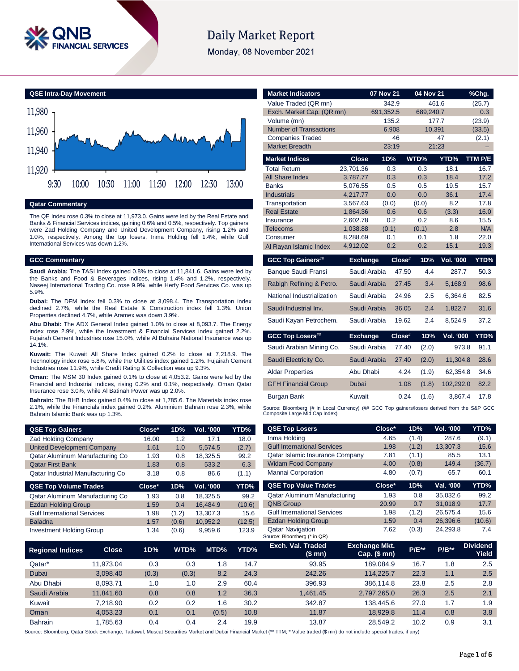

# **Daily Market Report**

Monday, 08 November 2021

**QSE Intra-Day Movement**



**Qatar Commentary**

The QE Index rose 0.3% to close at 11,973.0. Gains were led by the Real Estate and Banks & Financial Services indices, gaining 0.6% and 0.5%, respectively. Top gainers were Zad Holding Company and United Development Company, rising 1.2% and 1.0%, respectively. Among the top losers, Inma Holding fell 1.4%, while Gulf International Services was down 1.2%.

#### **GCC Commentary**

**Saudi Arabia:** The TASI Index gained 0.8% to close at 11,841.6. Gains were led by the Banks and Food & Beverages indices, rising 1.4% and 1.2%, respectively. Naseej International Trading Co. rose 9.9%, while Herfy Food Services Co. was up 5.9%.

**Dubai:** The DFM Index fell 0.3% to close at 3,098.4. The Transportation index declined 2.7%, while the Real Estate & Construction index fell 1.3%. Union Properties declined 4.7%, while Aramex was down 3.9%.

**Abu Dhabi:** The ADX General Index gained 1.0% to close at 8,093.7. The Energy index rose 2.9%, while the Investment & Financial Services index gained 2.2%. Fujairah Cement Industries rose 15.0%, while Al Buhaira National Insurance was up 14.1%.

**Kuwait:** The Kuwait All Share Index gained 0.2% to close at 7,218.9. The Technology index rose 5.8%, while the Utilities index gained 1.2%. Fujairah Cement Industries rose 11.9%, while Credit Rating & Collection was up 9.3%.

**Oman:** The MSM 30 Index gained 0.1% to close at 4,053.2. Gains were led by the Financial and Industrial indices, rising 0.2% and 0.1%, respectively. Oman Qatar Insurance rose 3.0%, while Al Batinah Power was up 2.0%.

**Bahrain:** The BHB Index gained 0.4% to close at 1,785.6. The Materials index rose 2.1%, while the Financials index gained 0.2%. Aluminium Bahrain rose 2.3%, while Bahrain Islamic Bank was up 1.3%.

| <b>QSE Top Gainers</b>            | $Close*$ | 1D% | <b>Vol. '000</b> | YTD%  |
|-----------------------------------|----------|-----|------------------|-------|
| <b>Zad Holding Company</b>        | 16.00    | 1.2 | 17.1             | 18.0  |
| <b>United Development Company</b> | 1.61     | 1.0 | 5.574.5          | (2.7) |
| Qatar Aluminum Manufacturing Co   | 1.93     | 0.8 | 18.325.5         | 99.2  |
| <b>Qatar First Bank</b>           | 1.83     | 0.8 | 533.2            | 6.3   |
| Qatar Industrial Manufacturing Co | 3.18     | 0.8 | 86.6             | (1.1) |

| <b>QSE Top Volume Trades</b>       | Close* | 1D%   | <b>Vol. '000</b> | YTD%   |
|------------------------------------|--------|-------|------------------|--------|
| Qatar Aluminum Manufacturing Co    | 1.93   | 0.8   | 18.325.5         | 99.2   |
| <b>Ezdan Holding Group</b>         | 1.59   | 0.4   | 16.484.9         | (10.6) |
| <b>Gulf International Services</b> | 1.98   | (1.2) | 13.307.3         | 15.6   |
| <b>Baladna</b>                     | 1.57   | (0.6) | 10.952.2         | (12.5) |
| <b>Investment Holding Group</b>    | 1.34   | (0.6) | 9.959.6          | 123.9  |

| <b>Market Indicators</b>                                                                                                      |                      | 07 Nov 21  |        | 04 Nov 21  |             | %Chg.        |  |  |  |
|-------------------------------------------------------------------------------------------------------------------------------|----------------------|------------|--------|------------|-------------|--------------|--|--|--|
| Value Traded (QR mn)                                                                                                          |                      |            | 342.9  |            | 461.6       | (25.7)       |  |  |  |
| Exch. Market Cap. (QR mn)                                                                                                     |                      | 691,352.5  |        | 689,240.7  |             | 0.3          |  |  |  |
| Volume (mn)                                                                                                                   |                      |            | 135.2  |            | 177.7       | (23.9)       |  |  |  |
| <b>Number of Transactions</b>                                                                                                 |                      |            | 6.908  | 10.391     |             | (33.5)       |  |  |  |
| <b>Companies Traded</b>                                                                                                       |                      |            | 46     |            | 47          | (2.1)        |  |  |  |
| <b>Market Breadth</b>                                                                                                         |                      |            | 23:19  |            | 21:23       |              |  |  |  |
| <b>Market Indices</b>                                                                                                         | <b>Close</b>         | 1D%        |        | WTD%       | <b>YTD%</b> | TTM P/E      |  |  |  |
| <b>Total Return</b>                                                                                                           | 23,701.36            | 0.3        |        | 0.3        | 18.1        | 16.7         |  |  |  |
| All Share Index                                                                                                               | 3,787.77             | 0.3        |        | 0.3        | 18.4        | 17.2         |  |  |  |
| <b>Banks</b>                                                                                                                  | 5,076.55             | 0.5        |        | 0.5        | 19.5        | 15.7         |  |  |  |
| <b>Industrials</b>                                                                                                            | 4.217.77             | 0.0        |        | 0.0        | 36.1        | 17.4         |  |  |  |
| Transportation                                                                                                                | 3,567.63             | (0.0)      |        | (0.0)      | 8.2         | 17.8         |  |  |  |
| <b>Real Estate</b>                                                                                                            | 1.864.36             | 0.6        |        | 0.6        | (3.3)       | 16.0         |  |  |  |
| Insurance                                                                                                                     | 2,602.78             | 0.2        |        | 0.2        | 8.6         | 15.5         |  |  |  |
| Telecoms                                                                                                                      | 1,038.88             | (0.1)      |        | (0.1)      | 2.8         | N/A          |  |  |  |
| Consumer                                                                                                                      | 8,288.69<br>4,912.02 | 0.1<br>0.2 |        | 0.1<br>0.2 | 1.8<br>15.1 | 22.0<br>19.3 |  |  |  |
| Al Rayan Islamic Index                                                                                                        |                      |            |        |            |             |              |  |  |  |
| <b>GCC Top Gainers##</b>                                                                                                      | <b>Exchange</b>      |            | Close# | 1D%        | Vol. '000   | YTD%         |  |  |  |
| Banque Saudi Fransi                                                                                                           | Saudi Arabia         |            | 47.50  | 4.4        | 287.7       | 50.3         |  |  |  |
| Rabigh Refining & Petro.                                                                                                      | Saudi Arabia         |            | 27.45  | 3.4        | 5,168.9     | 98.6         |  |  |  |
| National Industrialization                                                                                                    | Saudi Arabia         |            | 24.96  | 2.5        | 6,364.6     | 82.5         |  |  |  |
| Saudi Industrial Inv.                                                                                                         | Saudi Arabia         |            | 36.05  | 2.4        | 1.822.7     | 31.6         |  |  |  |
| Saudi Kayan Petrochem.                                                                                                        | Saudi Arabia         |            | 19.62  | 2.4        | 8,524.9     | 37.2         |  |  |  |
| <b>GCC Top Losers##</b>                                                                                                       | <b>Exchange</b>      |            | Close# | 1D%        | Vol. '000   | YTD%         |  |  |  |
| Saudi Arabian Mining Co.                                                                                                      | Saudi Arabia         |            | 77.40  | (2.0)      | 973.8       | 91.1         |  |  |  |
| Saudi Electricity Co.                                                                                                         | Saudi Arabia         |            | 27.40  | (2.0)      | 11,304.8    | 28.6         |  |  |  |
| <b>Aldar Properties</b>                                                                                                       | Abu Dhabi            |            | 4.24   | (1.9)      | 62,354.8    | 34.6         |  |  |  |
| <b>GFH Financial Group</b>                                                                                                    | Dubai                |            | 1.08   | (1.8)      | 102,292.0   | 82.2         |  |  |  |
| Burgan Bank                                                                                                                   | Kuwait               |            | 0.24   | (1.6)      | 3.867.4     | 17.8         |  |  |  |
| Source: Bloomberg (# in Local Currency) (## GCC Top gainers/losers derived from the S&P GCC<br>Composite Large Mid Cap Index) |                      |            |        |            |             |              |  |  |  |
| <b>QSE Top Losers</b>                                                                                                         |                      | Close*     |        | 1D%        | Vol. '000   | YTD%         |  |  |  |
| Inma Holding                                                                                                                  |                      | 4.65       |        | (1.4)      | 287.6       | (9.1)        |  |  |  |

| <b>QOL TOP GATTERS</b>             |              | uluse  | I D 70 | VOI. UUU         | $11D\%$ | <b>WALL TAN FASERS</b>                                 | いいご                                      | $1 - 70$ | vu. vuu   | 1.1270                   |
|------------------------------------|--------------|--------|--------|------------------|---------|--------------------------------------------------------|------------------------------------------|----------|-----------|--------------------------|
| Zad Holding Company                |              | 16.00  | 1.2    | 17.1             | 18.0    | Inma Holding                                           | 4.65                                     | (1.4)    | 287.6     | (9.1)                    |
| <b>United Development Company</b>  |              | 1.61   | 1.0    | 5,574.5          | (2.7)   | <b>Gulf International Services</b>                     | 1.98                                     | (1.2)    | 13,307.3  | 15.6                     |
| Qatar Aluminum Manufacturing Co    |              | 1.93   | 0.8    | 18,325.5         | 99.2    | Qatar Islamic Insurance Company                        | 7.81                                     | (1.1)    | 85.5      | 13.1                     |
| <b>Qatar First Bank</b>            |              | 1.83   | 0.8    | 533.2            | 6.3     | <b>Widam Food Company</b>                              | 4.00                                     | (0.8)    | 149.4     | (36.7)                   |
| Qatar Industrial Manufacturing Co  |              | 3.18   | 0.8    | 86.6             | (1.1)   | <b>Mannai Corporation</b>                              | 4.80                                     | (0.7)    | 65.7      | 60.1                     |
| <b>QSE Top Volume Trades</b>       |              | Close* | 1D%    | <b>Vol. '000</b> | YTD%    | <b>QSE Top Value Trades</b>                            | Close*                                   | 1D%      | Val. '000 | YTD%                     |
| Qatar Aluminum Manufacturing Co    |              | 1.93   | 0.8    | 18,325.5         | 99.2    | Qatar Aluminum Manufacturing                           | 1.93                                     | 0.8      | 35,032.6  | 99.2                     |
| <b>Ezdan Holding Group</b>         |              | 1.59   | 0.4    | 16,484.9         | (10.6)  | <b>QNB Group</b>                                       | 20.99                                    | 0.7      | 31,018.9  | 17.7                     |
| <b>Gulf International Services</b> |              | 1.98   | (1.2)  | 13,307.3         | 15.6    | <b>Gulf International Services</b>                     | 1.98                                     | (1.2)    | 26,575.4  | 15.6                     |
| <b>Baladna</b>                     |              | 1.57   | (0.6)  | 10,952.2         | (12.5)  | <b>Ezdan Holding Group</b>                             | 1.59                                     | 0.4      | 26,396.6  | (10.6)                   |
| <b>Investment Holding Group</b>    |              | 1.34   | (0.6)  | 9,959.6          | 123.9   | <b>Qatar Navigation</b><br>Source: Bloomberg (* in QR) | 7.62                                     | (0.3)    | 24,293.8  | 7.4                      |
| <b>Regional Indices</b>            | <b>Close</b> | 1D%    | WTD%   | MTD%             | YTD%    | Exch. Val. Traded<br>(\$ mn)                           | <b>Exchange Mkt.</b><br>Cap. $($$ mn $)$ | $P/E**$  | $P/B**$   | <b>Dividend</b><br>Yield |
| Qatar*                             | 11,973.04    | 0.3    | 0.3    | 1.8              | 14.7    | 93.95                                                  | 189,084.9                                | 16.7     | 1.8       | 2.5                      |
| Dubai                              | 3,098.40     | (0.3)  | (0.3)  | 8.2              | 24.3    | 242.26                                                 | 114,225.7                                | 22.3     | 1.1       | 2.5                      |
| Abu Dhabi                          | 8.093.71     | 1.0    | 1.0    | 2.9              | 60.4    | 396.93                                                 | 386,114.8                                | 23.8     | 2.5       | 2.8                      |
| Saudi Arabia                       | 11,841.60    | 0.8    | 0.8    | 1.2              | 36.3    | 1,461.45                                               | 2,797,265.0                              | 26.3     | 2.5       | 2.1                      |

Source: Bloomberg, Qatar Stock Exchange, Tadawul, Muscat Securities Market and Dubai Financial Market (\*\* TTM; \* Value traded (\$ mn) do not include special trades, if any)

Kuwait 7,218.90 0.2 0.2 1.6 30.2 342.87 138,445.6 27.0 1.7 1.9 Oman 4,053.23 0.1 0.1 (0.5) 10.8 11.87 18,929.8 11.4 0.8 3.8 Bahrain 1,785.63 0.4 0.4 2.4 19.9 13.87 28,549.2 10.2 0.9 3.1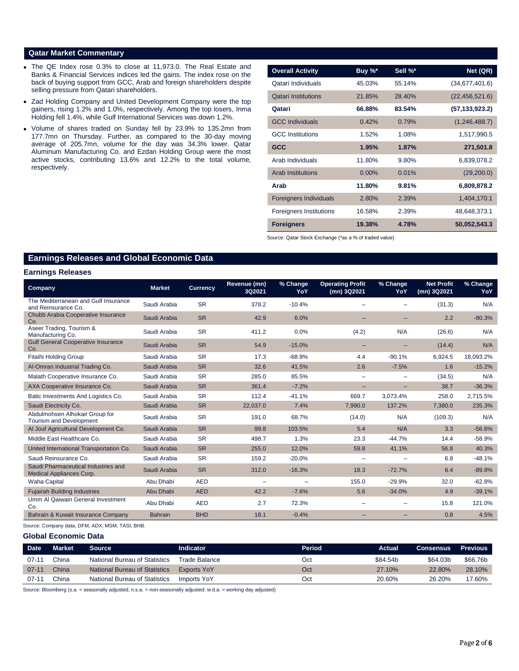### **Qatar Market Commentary**

- The QE Index rose 0.3% to close at 11,973.0. The Real Estate and Banks & Financial Services indices led the gains. The index rose on the back of buying support from GCC, Arab and foreign shareholders despite selling pressure from Qatari shareholders.
- Zad Holding Company and United Development Company were the top gainers, rising 1.2% and 1.0%, respectively. Among the top losers, Inma Holding fell 1.4%, while Gulf International Services was down 1.2%.
- Volume of shares traded on Sunday fell by 23.9% to 135.2mn from 177.7mn on Thursday. Further, as compared to the 30-day moving average of 205.7mn, volume for the day was 34.3% lower. Qatar Aluminum Manufacturing Co. and Ezdan Holding Group were the most active stocks, contributing 13.6% and 12.2% to the total volume, respectively.

| <b>Overall Activity</b>        | Buy $\%^*$ | Sell %* | Net (QR)         |
|--------------------------------|------------|---------|------------------|
| Qatari Individuals             | 45.03%     | 55.14%  | (34,677,401.6)   |
| <b>Qatari Institutions</b>     | 21.85%     | 28.40%  | (22, 456, 521.6) |
| Qatari                         | 66.88%     | 83.54%  | (57, 133, 923.2) |
| <b>GCC Individuals</b>         | 0.42%      | 0.79%   | (1,246,488.7)    |
| <b>GCC</b> Institutions        | 1.52%      | 1.08%   | 1,517,990.5      |
| <b>GCC</b>                     | 1.95%      | 1.87%   | 271,501.8        |
| Arab Individuals               | 11.80%     | 9.80%   | 6,839,078.2      |
| <b>Arab Institutions</b>       | $0.00\%$   | 0.01%   | (29,200.0)       |
| Arab                           | 11.80%     | 9.81%   | 6,809,878.2      |
| <b>Foreigners Individuals</b>  | 2.80%      | 2.39%   | 1,404,170.1      |
| <b>Foreigners Institutions</b> | 16.58%     | 2.39%   | 48,648,373.1     |
| <b>Foreigners</b>              | 19.38%     | 4.78%   | 50,052,543.3     |

Source: Qatar Stock Exchange (\*as a % of traded value)

# **Earnings Releases and Global Economic Data**

#### **Earnings Releases**

| Company                                                                | <b>Market</b>  | <b>Currency</b> | Revenue (mn)<br>3Q2021 | % Change<br>YoY          | <b>Operating Profit</b><br>(mn) 3Q2021 | % Change<br>YoY | <b>Net Profit</b><br>(mn) 3Q2021 | % Change<br>YoY |
|------------------------------------------------------------------------|----------------|-----------------|------------------------|--------------------------|----------------------------------------|-----------------|----------------------------------|-----------------|
| The Mediterranean and Gulf Insurance<br>and Reinsurance Co.            | Saudi Arabia   | <b>SR</b>       | 378.2                  | $-10.4%$                 |                                        |                 | (31.3)                           | N/A             |
| Chubb Arabia Cooperative Insurance<br>Co.                              | Saudi Arabia   | <b>SR</b>       | 42.9                   | 6.0%                     |                                        |                 | 2.2                              | $-80.3%$        |
| Aseer Trading, Tourism &<br>Manufacturing Co.                          | Saudi Arabia   | <b>SR</b>       | 411.2                  | 0.0%                     | (4.2)                                  | N/A             | (26.6)                           | N/A             |
| <b>Gulf General Cooperative Insurance</b><br>Co.                       | Saudi Arabia   | <b>SR</b>       | 54.9                   | $-15.0%$                 |                                        |                 | (14.4)                           | N/A             |
| <b>Fitaihi Holding Group</b>                                           | Saudi Arabia   | <b>SR</b>       | 17.3                   | $-68.9%$                 | 4.4                                    | $-90.1%$        | 6,924.5                          | 18,093.2%       |
| Al-Omran Industrial Trading Co.                                        | Saudi Arabia   | <b>SR</b>       | 32.6                   | 41.5%                    | 2.6                                    | $-7.5%$         | 1.6                              | $-15.2%$        |
| Malath Cooperative Insurance Co.                                       | Saudi Arabia   | <b>SR</b>       | 285.0                  | 85.5%                    | -                                      | -               | (34.5)                           | N/A             |
| AXA Cooperative Insurance Co.                                          | Saudi Arabia   | <b>SR</b>       | 361.4                  | $-7.2%$                  | -                                      | -               | 38.7                             | $-36.3%$        |
| Batic Investments And Logistics Co.                                    | Saudi Arabia   | <b>SR</b>       | 112.4                  | $-41.1%$                 | 669.7                                  | 3,073.4%        | 258.0                            | 2,715.5%        |
| Saudi Electricity Co.                                                  | Saudi Arabia   | <b>SR</b>       | 22,037.0               | 7.4%                     | 7,990.0                                | 137.2%          | 7,380.0                          | 235.3%          |
| Abdulmohsen Alhokair Group for<br>Tourism and Development              | Saudi Arabia   | <b>SR</b>       | 191.0                  | 68.7%                    | (14.0)                                 | N/A             | (109.3)                          | N/A             |
| Al Jouf Agricultural Development Co.                                   | Saudi Arabia   | <b>SR</b>       | 99.8                   | 103.5%                   | 5.4                                    | N/A             | 3.3                              | $-56.6%$        |
| Middle East Healthcare Co.                                             | Saudi Arabia   | <b>SR</b>       | 498.7                  | 1.3%                     | 23.3                                   | $-44.7%$        | 14.4                             | $-58.9%$        |
| United International Transportation Co.                                | Saudi Arabia   | <b>SR</b>       | 255.0                  | 12.0%                    | 59.8                                   | 41.1%           | 56.8                             | 40.3%           |
| Saudi Reinsurance Co.                                                  | Saudi Arabia   | <b>SR</b>       | 159.2                  | $-20.0%$                 | $\overline{\phantom{0}}$               |                 | 6.8                              | $-48.1%$        |
| Saudi Pharmaceutical Industries and<br><b>Medical Appliances Corp.</b> | Saudi Arabia   | <b>SR</b>       | 312.0                  | $-16.3%$                 | 18.3                                   | $-72.7%$        | 6.4                              | $-89.8%$        |
| <b>Waha Capital</b>                                                    | Abu Dhabi      | <b>AED</b>      |                        | $\overline{\phantom{0}}$ | 155.0                                  | $-29.9%$        | 32.0                             | $-62.8%$        |
| <b>Fujairah Building Industries</b>                                    | Abu Dhabi      | <b>AED</b>      | 42.2                   | $-7.6%$                  | 5.6                                    | $-34.0%$        | 4.9                              | $-39.1%$        |
| Umm Al Qaiwain General Investment<br>Co.                               | Abu Dhabi      | <b>AED</b>      | 2.7                    | 72.3%                    |                                        |                 | 15.8                             | 121.0%          |
| Bahrain & Kuwait Insurance Company                                     | <b>Bahrain</b> | <b>BHD</b>      | 18.1                   | $-0.4%$                  |                                        |                 | 0.8                              | 4.5%            |

Source: Company data, DFM, ADX, MSM, TASI, BHB.

#### **Global Economic Data**

| Date <sup></sup> | <b>Market</b> | Source                               | <b>Indicator</b>   | Period | Actual   | <b>Consensus</b> | <b>Previous</b> |
|------------------|---------------|--------------------------------------|--------------------|--------|----------|------------------|-----------------|
| $07-1$           | China         | National Bureau of Statistics        | Trade Balance      | Oct    | \$84.54b | \$64.03b         | \$66,76b        |
| $07 - 11$        | China         | <b>National Bureau of Statistics</b> | <b>Exports YoY</b> | Oct    | 27.10%   | 22.80%           | 28.10%          |
| $07-1$           | China         | <b>National Bureau of Statistics</b> | Imports YoY        | Oct    | 20.60%   | 26.20%           | 17.60%          |

Source: Bloomberg (s.a. = seasonally adjusted; n.s.a. = non-seasonally adjusted; w.d.a. = working day adjusted)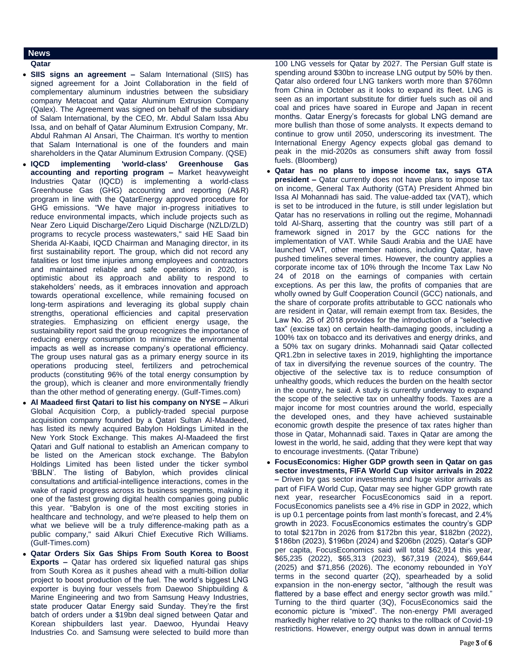# **News**

## **Qatar**

- **SIIS signs an agreement –** Salam International (SIIS) has signed agreement for a Joint Collaboration in the field of complementary aluminum industries between the subsidiary company Metacoat and Qatar Aluminum Extrusion Company (Qalex). The Agreement was signed on behalf of the subsidiary of Salam International, by the CEO, Mr. Abdul Salam Issa Abu Issa, and on behalf of Qatar Aluminum Extrusion Company, Mr. Abdul Rahman Al Ansari, The Chairman. It's worthy to mention that Salam International is one of the founders and main shareholders in the Qatar Aluminum Extrusion Company. (QSE)
- **IQCD implementing 'world-class' Greenhouse Gas accounting and reporting program –** Market heavyweight Industries Qatar (IQCD) is implementing a world-class Greenhouse Gas (GHG) accounting and reporting (A&R) program in line with the QatarEnergy approved procedure for GHG emissions. "We have major in-progress initiatives to reduce environmental impacts, which include projects such as Near Zero Liquid Discharge/Zero Liquid Discharge (NZLD/ZLD) programs to recycle process wastewaters," said HE Saad bin Sherida Al-Kaabi, IQCD Chairman and Managing director, in its first sustainability report. The group, which did not record any fatalities or lost time injuries among employees and contractors and maintained reliable and safe operations in 2020, is optimistic about its approach and ability to respond to stakeholders' needs, as it embraces innovation and approach towards operational excellence, while remaining focused on long-term aspirations and leveraging its global supply chain strengths, operational efficiencies and capital preservation strategies. Emphasizing on efficient energy usage, the sustainability report said the group recognizes the importance of reducing energy consumption to minimize the environmental impacts as well as increase company's operational efficiency. The group uses natural gas as a primary energy source in its operations producing steel, fertilizers and petrochemical products (constituting 96% of the total energy consumption by the group), which is cleaner and more environmentally friendly than the other method of generating energy. (Gulf-Times.com)
- **Al Maadeed first Qatari to list his company on NYSE –** Alkuri Global Acquisition Corp, a publicly-traded special purpose acquisition company founded by a Qatari Sultan Al-Maadeed, has listed its newly acquired Babylon Holdings Limited in the New York Stock Exchange. This makes Al-Maadeed the first Qatari and Gulf national to establish an American company to be listed on the American stock exchange. The Babylon Holdings Limited has been listed under the ticker symbol 'BBLN'. The listing of Babylon, which provides clinical consultations and artificial-intelligence interactions, comes in the wake of rapid progress across its business segments, making it one of the fastest growing digital health companies going public this year. "Babylon is one of the most exciting stories in healthcare and technology, and we're pleased to help them on what we believe will be a truly difference-making path as a public company," said Alkuri Chief Executive Rich Williams. (Gulf-Times.com)
- **Qatar Orders Six Gas Ships From South Korea to Boost Exports –** Qatar has ordered six liquefied natural gas ships from South Korea as it pushes ahead with a multi-billion dollar project to boost production of the fuel. The world's biggest LNG exporter is buying four vessels from Daewoo Shipbuilding & Marine Engineering and two from Samsung Heavy Industries, state producer Qatar Energy said Sunday. They're the first batch of orders under a \$19bn deal signed between Qatar and Korean shipbuilders last year. Daewoo, Hyundai Heavy Industries Co. and Samsung were selected to build more than

100 LNG vessels for Qatar by 2027. The Persian Gulf state is spending around \$30bn to increase LNG output by 50% by then. Qatar also ordered four LNG tankers worth more than \$760mn from China in October as it looks to expand its fleet. LNG is seen as an important substitute for dirtier fuels such as oil and coal and prices have soared in Europe and Japan in recent months. Qatar Energy's forecasts for global LNG demand are more bullish than those of some analysts. It expects demand to continue to grow until 2050, underscoring its investment. The International Energy Agency expects global gas demand to peak in the mid-2020s as consumers shift away from fossil fuels. (Bloomberg)

- **Qatar has no plans to impose income tax, says GTA president –** Qatar currently does not have plans to impose tax on income, General Tax Authority (GTA) President Ahmed bin Issa Al Mohannadi has said. The value-added tax (VAT), which is set to be introduced in the future, is still under legislation but Qatar has no reservations in rolling out the regime, Mohannadi told Al-Sharq, asserting that the country was still part of a framework signed in 2017 by the GCC nations for the implementation of VAT. While Saudi Arabia and the UAE have launched VAT, other member nations, including Qatar, have pushed timelines several times. However, the country applies a corporate income tax of 10% through the Income Tax Law No 24 of 2018 on the earnings of companies with certain exceptions. As per this law, the profits of companies that are wholly owned by Gulf Cooperation Council (GCC) nationals, and the share of corporate profits attributable to GCC nationals who are resident in Qatar, will remain exempt from tax. Besides, the Law No. 25 of 2018 provides for the introduction of a "selective tax" (excise tax) on certain health-damaging goods, including a 100% tax on tobacco and its derivatives and energy drinks, and a 50% tax on sugary drinks. Mohannadi said Qatar collected QR1.2bn in selective taxes in 2019, highlighting the importance of tax in diversifying the revenue sources of the country. The objective of the selective tax is to reduce consumption of unhealthy goods, which reduces the burden on the health sector in the country, he said. A study is currently underway to expand the scope of the selective tax on unhealthy foods. Taxes are a major income for most countries around the world, especially the developed ones, and they have achieved sustainable economic growth despite the presence of tax rates higher than those in Qatar, Mohannadi said. Taxes in Qatar are among the lowest in the world, he said, adding that they were kept that way to encourage investments. (Qatar Tribune)
- **FocusEconomics: Higher GDP growth seen in Qatar on gas sector investments, FIFA World Cup visitor arrivals in 2022 –** Driven by gas sector investments and huge visitor arrivals as part of FIFA World Cup, Qatar may see higher GDP growth rate next year, researcher FocusEconomics said in a report. FocusEconomics panelists see a 4% rise in GDP in 2022, which is up 0.1 percentage points from last month's forecast, and 2.4% growth in 2023. FocusEconomics estimates the country's GDP to total \$217bn in 2026 from \$172bn this year, \$182bn (2022), \$186bn (2023), \$196bn (2024) and \$206bn (2025). Qatar's GDP per capita, FocusEconomics said will total \$62,914 this year, \$65,235 (2022), \$65,313 (2023), \$67,319 (2024), \$69,644 (2025) and \$71,856 (2026). The economy rebounded in YoY terms in the second quarter (2Q), spearheaded by a solid expansion in the non-energy sector, "although the result was flattered by a base effect and energy sector growth was mild." Turning to the third quarter (3Q), FocusEconomics said the economic picture is "mixed". The non-energy PMI averaged markedly higher relative to 2Q thanks to the rollback of Covid-19 restrictions. However, energy output was down in annual terms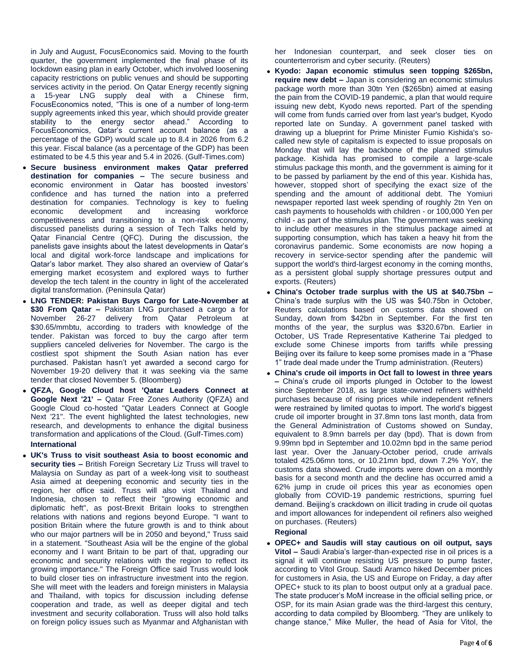in July and August, FocusEconomics said. Moving to the fourth quarter, the government implemented the final phase of its lockdown easing plan in early October, which involved loosening capacity restrictions on public venues and should be supporting services activity in the period. On Qatar Energy recently signing a 15-year LNG supply deal with a Chinese firm, FocusEconomics noted, "This is one of a number of long-term supply agreements inked this year, which should provide greater stability to the energy sector ahead." According to FocusEconomics, Qatar's current account balance (as a percentage of the GDP) would scale up to 8.4 in 2026 from 6.2 this year. Fiscal balance (as a percentage of the GDP) has been estimated to be 4.5 this year and 5.4 in 2026. (Gulf-Times.com)

- **Secure business environment makes Qatar preferred destination for companies –** The secure business and economic environment in Qatar has boosted investors' confidence and has turned the nation into a preferred destination for companies. Technology is key to fueling economic development and increasing workforce competitiveness and transitioning to a non-risk economy, discussed panelists during a session of Tech Talks held by Qatar Financial Centre (QFC). During the discussion, the panelists gave insights about the latest developments in Qatar's local and digital work-force landscape and implications for Qatar's labor market. They also shared an overview of Qatar's emerging market ecosystem and explored ways to further develop the tech talent in the country in light of the accelerated digital transformation. (Peninsula Qatar)
- **LNG TENDER: Pakistan Buys Cargo for Late-November at \$30 From Qatar –** Pakistan LNG purchased a cargo a for November 26-27 delivery from Qatar Petroleum at \$30.65/mmbtu, according to traders with knowledge of the tender. Pakistan was forced to buy the cargo after term suppliers canceled deliveries for November. The cargo is the costliest spot shipment the South Asian nation has ever purchased. Pakistan hasn't yet awarded a second cargo for November 19-20 delivery that it was seeking via the same tender that closed November 5. (Bloomberg)
- **QFZA, Google Cloud host 'Qatar Leaders Connect at Google Next '21' –** Qatar Free Zones Authority (QFZA) and Google Cloud co-hosted "Qatar Leaders Connect at Google Next '21". The event highlighted the latest technologies, new research, and developments to enhance the digital business transformation and applications of the Cloud. (Gulf-Times.com) **International**
- **UK's Truss to visit southeast Asia to boost economic and security ties –** British Foreign Secretary Liz Truss will travel to Malaysia on Sunday as part of a week-long visit to southeast Asia aimed at deepening economic and security ties in the region, her office said. Truss will also visit Thailand and Indonesia, chosen to reflect their "growing economic and diplomatic heft", as post-Brexit Britain looks to strengthen relations with nations and regions beyond Europe. "I want to position Britain where the future growth is and to think about who our major partners will be in 2050 and beyond," Truss said in a statement. "Southeast Asia will be the engine of the global economy and I want Britain to be part of that, upgrading our economic and security relations with the region to reflect its growing importance." The Foreign Office said Truss would look to build closer ties on infrastructure investment into the region. She will meet with the leaders and foreign ministers in Malaysia and Thailand, with topics for discussion including defense cooperation and trade, as well as deeper digital and tech investment and security collaboration. Truss will also hold talks on foreign policy issues such as Myanmar and Afghanistan with

her Indonesian counterpart, and seek closer ties on counterterrorism and cyber security. (Reuters)

- **Kyodo: Japan economic stimulus seen topping \$265bn, require new debt –** Japan is considering an economic stimulus package worth more than 30tn Yen (\$265bn) aimed at easing the pain from the COVID-19 pandemic, a plan that would require issuing new debt, Kyodo news reported. Part of the spending will come from funds carried over from last year's budget, Kyodo reported late on Sunday. A government panel tasked with drawing up a blueprint for Prime Minister Fumio Kishida's socalled new style of capitalism is expected to issue proposals on Monday that will lay the backbone of the planned stimulus package. Kishida has promised to compile a large-scale stimulus package this month, and the government is aiming for it to be passed by parliament by the end of this year. Kishida has, however, stopped short of specifying the exact size of the spending and the amount of additional debt. The Yomiuri newspaper reported last week spending of roughly 2tn Yen on cash payments to households with children - or 100,000 Yen per child - as part of the stimulus plan. The government was seeking to include other measures in the stimulus package aimed at supporting consumption, which has taken a heavy hit from the coronavirus pandemic. Some economists are now hoping a recovery in service-sector spending after the pandemic will support the world's third-largest economy in the coming months, as a persistent global supply shortage pressures output and exports. (Reuters)
- **China's October trade surplus with the US at \$40.75bn –** China's trade surplus with the US was \$40.75bn in October, Reuters calculations based on customs data showed on Sunday, down from \$42bn in September. For the first ten months of the year, the surplus was \$320.67bn. Earlier in October, US Trade Representative Katherine Tai pledged to exclude some Chinese imports from tariffs while pressing Beijing over its failure to keep some promises made in a "Phase 1" trade deal made under the Trump administration. (Reuters)
- **China's crude oil imports in Oct fall to lowest in three years –** China's crude oil imports plunged in October to the lowest since September 2018, as large state-owned refiners withheld purchases because of rising prices while independent refiners were restrained by limited quotas to import. The world's biggest crude oil importer brought in 37.8mn tons last month, data from the General Administration of Customs showed on Sunday, equivalent to 8.9mn barrels per day (bpd). That is down from 9.99mn bpd in September and 10.02mn bpd in the same period last year. Over the January-October period, crude arrivals totaled 425.06mn tons, or 10.21mn bpd, down 7.2% YoY, the customs data showed. Crude imports were down on a monthly basis for a second month and the decline has occurred amid a 62% jump in crude oil prices this year as economies open globally from COVID-19 pandemic restrictions, spurring fuel demand. Beijing's crackdown on illicit trading in crude oil quotas and import allowances for independent oil refiners also weighed on purchases. (Reuters)

**Regional**

 **OPEC+ and Saudis will stay cautious on oil output, says Vitol –** Saudi Arabia's larger-than-expected rise in oil prices is a signal it will continue resisting US pressure to pump faster, according to Vitol Group. Saudi Aramco hiked December prices for customers in Asia, the US and Europe on Friday, a day after OPEC+ stuck to its plan to boost output only at a gradual pace. The state producer's MoM increase in the official selling price, or OSP, for its main Asian grade was the third-largest this century, according to data compiled by Bloomberg. "They are unlikely to change stance," Mike Muller, the head of Asia for Vitol, the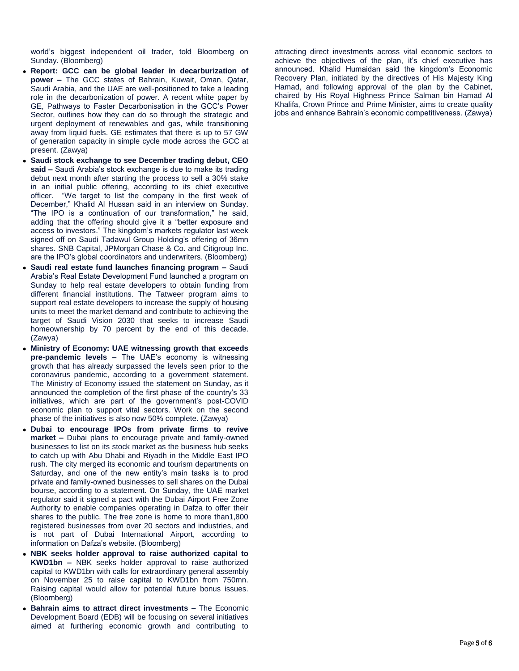world's biggest independent oil trader, told Bloomberg on Sunday. (Bloomberg)

- **Report: GCC can be global leader in decarburization of power –** The GCC states of Bahrain, Kuwait, Oman, Qatar, Saudi Arabia, and the UAE are well-positioned to take a leading role in the decarbonization of power. A recent white paper by GE, Pathways to Faster Decarbonisation in the GCC's Power Sector, outlines how they can do so through the strategic and urgent deployment of renewables and gas, while transitioning away from liquid fuels. GE estimates that there is up to 57 GW of generation capacity in simple cycle mode across the GCC at present. (Zawya)
- **Saudi stock exchange to see December trading debut, CEO said –** Saudi Arabia's stock exchange is due to make its trading debut next month after starting the process to sell a 30% stake in an initial public offering, according to its chief executive officer. "We target to list the company in the first week of December," Khalid Al Hussan said in an interview on Sunday. "The IPO is a continuation of our transformation," he said, adding that the offering should give it a "better exposure and access to investors." The kingdom's markets regulator last week signed off on Saudi Tadawul Group Holding's offering of 36mn shares. SNB Capital, JPMorgan Chase & Co. and Citigroup Inc. are the IPO's global coordinators and underwriters. (Bloomberg)
- **Saudi real estate fund launches financing program –** Saudi Arabia's Real Estate Development Fund launched a program on Sunday to help real estate developers to obtain funding from different financial institutions. The Tatweer program aims to support real estate developers to increase the supply of housing units to meet the market demand and contribute to achieving the target of Saudi Vision 2030 that seeks to increase Saudi homeownership by 70 percent by the end of this decade. (Zawya)
- **Ministry of Economy: UAE witnessing growth that exceeds pre-pandemic levels –** The UAE's economy is witnessing growth that has already surpassed the levels seen prior to the coronavirus pandemic, according to a government statement. The Ministry of Economy issued the statement on Sunday, as it announced the completion of the first phase of the country's 33 initiatives, which are part of the government's post-COVID economic plan to support vital sectors. Work on the second phase of the initiatives is also now 50% complete. (Zawya)
- **Dubai to encourage IPOs from private firms to revive market –** Dubai plans to encourage private and family-owned businesses to list on its stock market as the business hub seeks to catch up with Abu Dhabi and Riyadh in the Middle East IPO rush. The city merged its economic and tourism departments on Saturday, and one of the new entity's main tasks is to prod private and family-owned businesses to sell shares on the Dubai bourse, according to a statement. On Sunday, the UAE market regulator said it signed a pact with the Dubai Airport Free Zone Authority to enable companies operating in Dafza to offer their shares to the public. The free zone is home to more than1,800 registered businesses from over 20 sectors and industries, and is not part of Dubai International Airport, according to information on Dafza's website. (Bloomberg)
- **NBK seeks holder approval to raise authorized capital to KWD1bn –** NBK seeks holder approval to raise authorized capital to KWD1bn with calls for extraordinary general assembly on November 25 to raise capital to KWD1bn from 750mn. Raising capital would allow for potential future bonus issues. (Bloomberg)
- **Bahrain aims to attract direct investments –** The Economic Development Board (EDB) will be focusing on several initiatives aimed at furthering economic growth and contributing to

attracting direct investments across vital economic sectors to achieve the objectives of the plan, it's chief executive has announced. Khalid Humaidan said the kingdom's Economic Recovery Plan, initiated by the directives of His Majesty King Hamad, and following approval of the plan by the Cabinet, chaired by His Royal Highness Prince Salman bin Hamad Al Khalifa, Crown Prince and Prime Minister, aims to create quality jobs and enhance Bahrain's economic competitiveness. (Zawya)